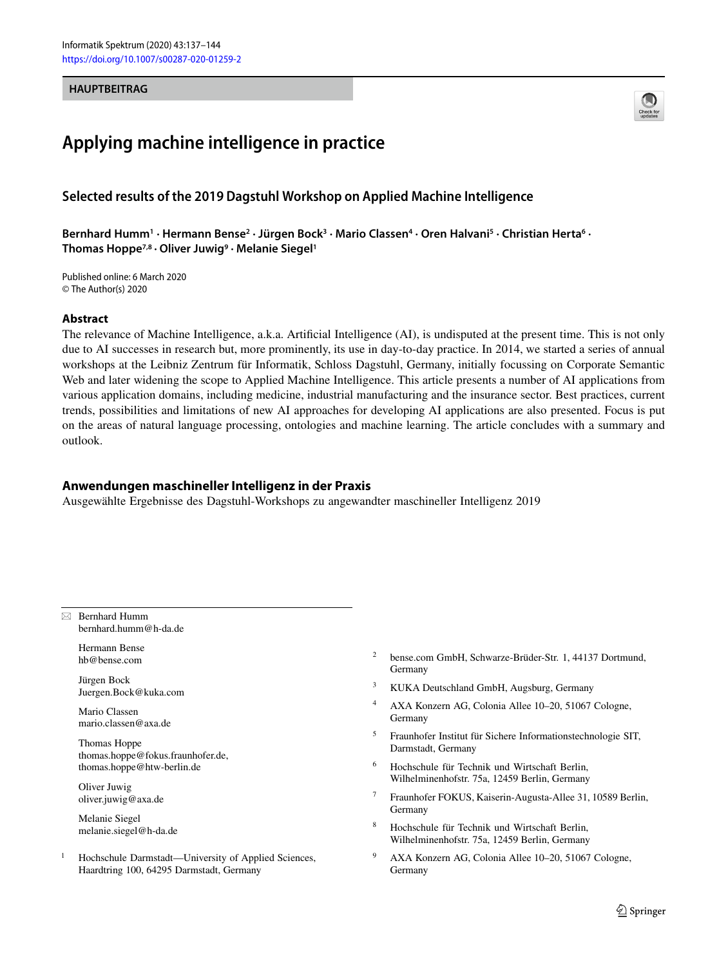#### **HAUPTBEITRAG**



# **Applying machine intelligence in practice**

**Selected results of the 2019 Dagstuhl Workshop on Applied Machine Intelligence**

**Bernhard Humm1 · Hermann Bense2 · Jürgen Bock3 · Mario Classen4 · Oren Halvani5 · Christian Herta6 · Thomas Hoppe7,8 · Oliver Juwig9 · Melanie Siegel1**

Published online: 6 March 2020 © The Author(s) 2020

#### **Abstract**

The relevance of Machine Intelligence, a.k.a. Artificial Intelligence (AI), is undisputed at the present time. This is not only due to AI successes in research but, more prominently, its use in day-to-day practice. In 2014, we started a series of annual workshops at the Leibniz Zentrum für Informatik, Schloss Dagstuhl, Germany, initially focussing on Corporate Semantic Web and later widening the scope to Applied Machine Intelligence. This article presents a number of AI applications from various application domains, including medicine, industrial manufacturing and the insurance sector. Best practices, current trends, possibilities and limitations of new AI approaches for developing AI applications are also presented. Focus is put on the areas of natural language processing, ontologies and machine learning. The article concludes with a summary and outlook.

## **Anwendungen maschineller Intelligenz in der Praxis**

Ausgewählte Ergebnisse des Dagstuhl-Workshops zu angewandter maschineller Intelligenz 2019

- Bernhard Humm bernhard.humm@h-da.de

> Hermann Bense hb@bense.com

Jürgen Bock Juergen.Bock@kuka.com

Mario Classen mario.classen@axa.de

Thomas Hoppe thomas.hoppe@fokus.fraunhofer.de, thomas.hoppe@htw-berlin.de

Oliver Juwig oliver.juwig@axa.de

Melanie Siegel melanie.siegel@h-da.de

Hochschule Darmstadt-University of Applied Sciences, Haardtring 100, 64295 Darmstadt, Germany

- <sup>2</sup> bense.com GmbH, Schwarze-Brüder-Str. 1, 44137 Dortmund, Germany
- <sup>3</sup> KUKA Deutschland GmbH, Augsburg, Germany
- <sup>4</sup> AXA Konzern AG, Colonia Allee 10–20, 51067 Cologne, Germany
- <sup>5</sup> Fraunhofer Institut für Sichere Informationstechnologie SIT, Darmstadt, Germany
- <sup>6</sup> Hochschule für Technik und Wirtschaft Berlin, Wilhelminenhofstr. 75a, 12459 Berlin, Germany
- <sup>7</sup> Fraunhofer FOKUS, Kaiserin-Augusta-Allee 31, 10589 Berlin, Germany
- <sup>8</sup> Hochschule für Technik und Wirtschaft Berlin, Wilhelminenhofstr. 75a, 12459 Berlin, Germany
- <sup>9</sup> AXA Konzern AG, Colonia Allee 10–20, 51067 Cologne, Germany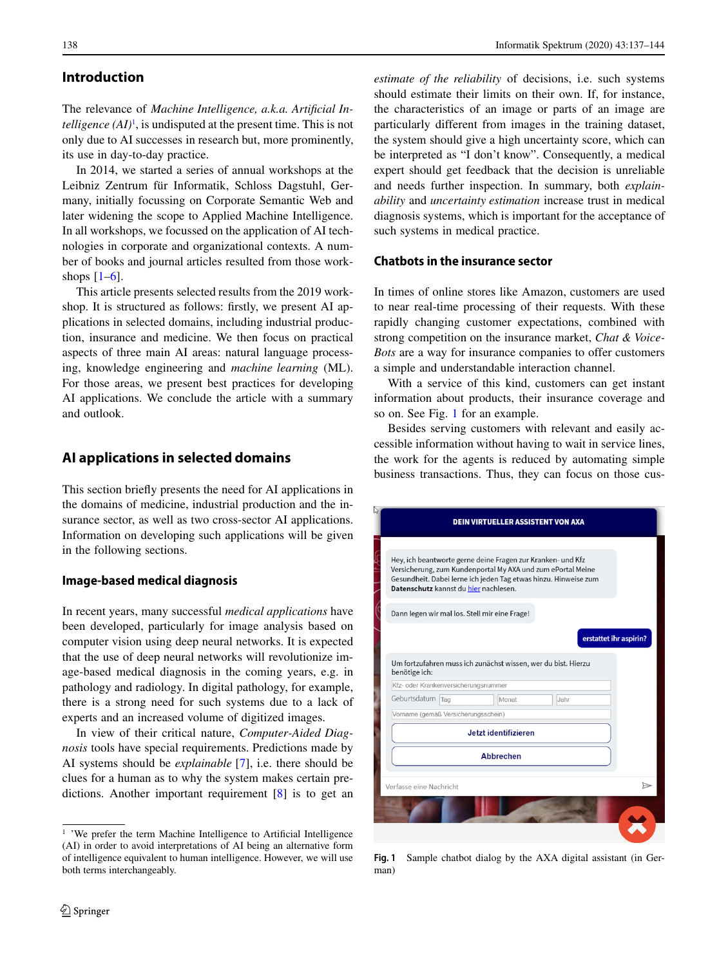## **Introduction**

The relevance of *Machine Intelligence, a.k.a. Artificial Intelligence (AI)*[1](#page-1-0) , is undisputed at the present time. This is not only due to AI successes in research but, more prominently, its use in day-to-day practice.

In 2014, we started a series of annual workshops at the Leibniz Zentrum für Informatik, Schloss Dagstuhl, Germany, initially focussing on Corporate Semantic Web and later widening the scope to Applied Machine Intelligence. In all workshops, we focussed on the application of AI technologies in corporate and organizational contexts. A number of books and journal articles resulted from those workshops  $[1-6]$  $[1-6]$ .

This article presents selected results from the 2019 workshop. It is structured as follows: firstly, we present AI applications in selected domains, including industrial production, insurance and medicine. We then focus on practical aspects of three main AI areas: natural language processing, knowledge engineering and *machine learning* (ML). For those areas, we present best practices for developing AI applications. We conclude the article with a summary and outlook.

## **AI applications in selected domains**

This section briefly presents the need for AI applications in the domains of medicine, industrial production and the insurance sector, as well as two cross-sector AI applications. Information on developing such applications will be given in the following sections.

#### **Image-based medical diagnosis**

In recent years, many successful *medical applications* have been developed, particularly for image analysis based on computer vision using deep neural networks. It is expected that the use of deep neural networks will revolutionize image-based medical diagnosis in the coming years, e.g. in pathology and radiology. In digital pathology, for example, there is a strong need for such systems due to a lack of experts and an increased volume of digitized images.

In view of their critical nature, *Computer-Aided Diagnosis* tools have special requirements. Predictions made by AI systems should be *explainable* [\[7\]](#page-6-2), i.e. there should be clues for a human as to why the system makes certain predictions. Another important requirement [\[8\]](#page-6-3) is to get an *estimate of the reliability* of decisions, i.e. such systems should estimate their limits on their own. If, for instance, the characteristics of an image or parts of an image are particularly different from images in the training dataset, the system should give a high uncertainty score, which can be interpreted as "I don't know". Consequently, a medical expert should get feedback that the decision is unreliable and needs further inspection. In summary, both *explainability* and *uncertainty estimation* increase trust in medical diagnosis systems, which is important for the acceptance of such systems in medical practice.

#### **Chatbots in the insurance sector**

In times of online stores like Amazon, customers are used to near real-time processing of their requests. With these rapidly changing customer expectations, combined with strong competition on the insurance market, *Chat & Voice-Bots* are a way for insurance companies to offer customers a simple and understandable interaction channel.

With a service of this kind, customers can get instant information about products, their insurance coverage and so on. See Fig. [1](#page-1-1) for an example.

Besides serving customers with relevant and easily accessible information without having to wait in service lines, the work for the agents is reduced by automating simple business transactions. Thus, they can focus on those cus-



<span id="page-1-1"></span>**Fig. 1** Sample chatbot dialog by the AXA digital assistant (in German)

<span id="page-1-0"></span><sup>&</sup>lt;sup>1</sup> 'We prefer the term Machine Intelligence to Artificial Intelligence (AI) in order to avoid interpretations of AI being an alternative form of intelligence equivalent to human intelligence. However, we will use both terms interchangeably.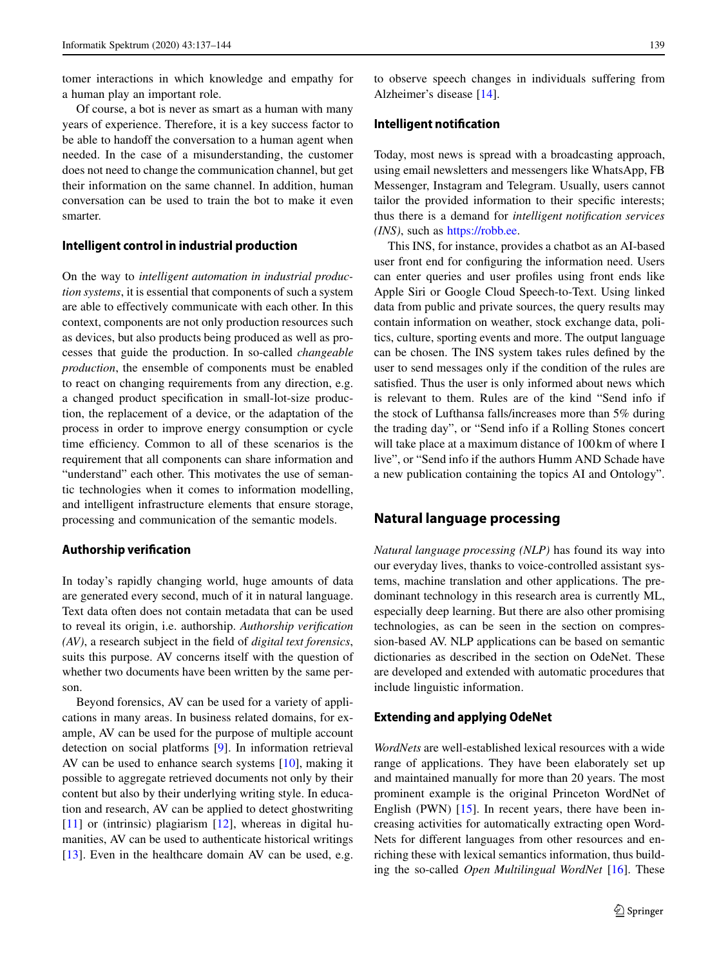tomer interactions in which knowledge and empathy for a human play an important role.

Of course, a bot is never as smart as a human with many years of experience. Therefore, it is a key success factor to be able to handoff the conversation to a human agent when needed. In the case of a misunderstanding, the customer does not need to change the communication channel, but get their information on the same channel. In addition, human conversation can be used to train the bot to make it even smarter.

### **Intelligent control in industrial production**

On the way to *intelligent automation in industrial production systems*, it is essential that components of such a system are able to effectively communicate with each other. In this context, components are not only production resources such as devices, but also products being produced as well as processes that guide the production. In so-called *changeable production*, the ensemble of components must be enabled to react on changing requirements from any direction, e.g. a changed product specification in small-lot-size production, the replacement of a device, or the adaptation of the process in order to improve energy consumption or cycle time efficiency. Common to all of these scenarios is the requirement that all components can share information and "understand" each other. This motivates the use of semantic technologies when it comes to information modelling, and intelligent infrastructure elements that ensure storage, processing and communication of the semantic models.

#### **Authorship verification**

In today's rapidly changing world, huge amounts of data are generated every second, much of it in natural language. Text data often does not contain metadata that can be used to reveal its origin, i.e. authorship. *Authorship verification (AV)*, a research subject in the field of *digital text forensics*, suits this purpose. AV concerns itself with the question of whether two documents have been written by the same person.

Beyond forensics, AV can be used for a variety of applications in many areas. In business related domains, for example, AV can be used for the purpose of multiple account detection on social platforms [\[9\]](#page-6-4). In information retrieval AV can be used to enhance search systems [\[10\]](#page-6-5), making it possible to aggregate retrieved documents not only by their content but also by their underlying writing style. In education and research, AV can be applied to detect ghostwriting [\[11\]](#page-6-6) or (intrinsic) plagiarism [\[12\]](#page-6-7), whereas in digital humanities, AV can be used to authenticate historical writings [ $13$ ]. Even in the healthcare domain AV can be used, e.g.

to observe speech changes in individuals suffering from Alzheimer's disease [\[14\]](#page-6-9).

#### **Intelligent notification**

Today, most news is spread with a broadcasting approach, using email newsletters and messengers like WhatsApp, FB Messenger, Instagram and Telegram. Usually, users cannot tailor the provided information to their specific interests; thus there is a demand for *intelligent notification services (INS)*, such as [https://robb.ee.](https://robb.ee)

This INS, for instance, provides a chatbot as an AI-based user front end for configuring the information need. Users can enter queries and user profiles using front ends like Apple Siri or Google Cloud Speech-to-Text. Using linked data from public and private sources, the query results may contain information on weather, stock exchange data, politics, culture, sporting events and more. The output language can be chosen. The INS system takes rules defined by the user to send messages only if the condition of the rules are satisfied. Thus the user is only informed about news which is relevant to them. Rules are of the kind "Send info if the stock of Lufthansa falls/increases more than 5% during the trading day", or "Send info if a Rolling Stones concert will take place at a maximum distance of 100 km of where I live", or "Send info if the authors Humm AND Schade have a new publication containing the topics AI and Ontology".

## **Natural language processing**

*Natural language processing (NLP)* has found its way into our everyday lives, thanks to voice-controlled assistant systems, machine translation and other applications. The predominant technology in this research area is currently ML, especially deep learning. But there are also other promising technologies, as can be seen in the section on compression-based AV. NLP applications can be based on semantic dictionaries as described in the section on OdeNet. These are developed and extended with automatic procedures that include linguistic information.

#### **Extending and applying OdeNet**

*WordNets* are well-established lexical resources with a wide range of applications. They have been elaborately set up and maintained manually for more than 20 years. The most prominent example is the original Princeton WordNet of English (PWN) [\[15\]](#page-7-0). In recent years, there have been increasing activities for automatically extracting open Word-Nets for different languages from other resources and enriching these with lexical semantics information, thus building the so-called *Open Multilingual WordNet* [\[16\]](#page-7-1). These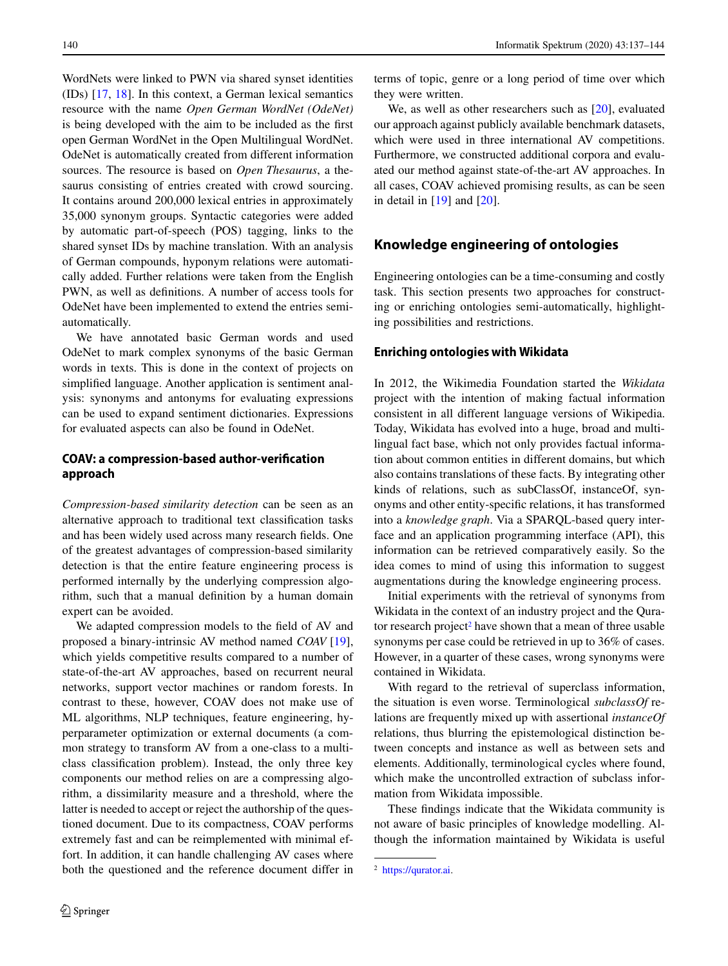WordNets were linked to PWN via shared synset identities (IDs) [\[17,](#page-7-2) [18\]](#page-7-3). In this context, a German lexical semantics resource with the name *Open German WordNet (OdeNet)* is being developed with the aim to be included as the first open German WordNet in the Open Multilingual WordNet. OdeNet is automatically created from different information sources. The resource is based on *Open Thesaurus*, a thesaurus consisting of entries created with crowd sourcing. It contains around 200,000 lexical entries in approximately 35,000 synonym groups. Syntactic categories were added by automatic part-of-speech (POS) tagging, links to the shared synset IDs by machine translation. With an analysis of German compounds, hyponym relations were automatically added. Further relations were taken from the English PWN, as well as definitions. A number of access tools for OdeNet have been implemented to extend the entries semiautomatically.

We have annotated basic German words and used OdeNet to mark complex synonyms of the basic German words in texts. This is done in the context of projects on simplified language. Another application is sentiment analysis: synonyms and antonyms for evaluating expressions can be used to expand sentiment dictionaries. Expressions for evaluated aspects can also be found in OdeNet.

## **COAV: a compression-based author-verification approach**

*Compression-based similarity detection* can be seen as an alternative approach to traditional text classification tasks and has been widely used across many research fields. One of the greatest advantages of compression-based similarity detection is that the entire feature engineering process is performed internally by the underlying compression algorithm, such that a manual definition by a human domain expert can be avoided.

We adapted compression models to the field of AV and proposed a binary-intrinsic AV method named *COAV* [\[19\]](#page-7-4), which yields competitive results compared to a number of state-of-the-art AV approaches, based on recurrent neural networks, support vector machines or random forests. In contrast to these, however, COAV does not make use of ML algorithms, NLP techniques, feature engineering, hyperparameter optimization or external documents (a common strategy to transform AV from a one-class to a multiclass classification problem). Instead, the only three key components our method relies on are a compressing algorithm, a dissimilarity measure and a threshold, where the latter is needed to accept or reject the authorship of the questioned document. Due to its compactness, COAV performs extremely fast and can be reimplemented with minimal effort. In addition, it can handle challenging AV cases where both the questioned and the reference document differ in

terms of topic, genre or a long period of time over which they were written.

We, as well as other researchers such as [\[20\]](#page-7-5), evaluated our approach against publicly available benchmark datasets, which were used in three international AV competitions. Furthermore, we constructed additional corpora and evaluated our method against state-of-the-art AV approaches. In all cases, COAV achieved promising results, as can be seen in detail in  $[19]$  and  $[20]$ .

## **Knowledge engineering of ontologies**

Engineering ontologies can be a time-consuming and costly task. This section presents two approaches for constructing or enriching ontologies semi-automatically, highlighting possibilities and restrictions.

#### **Enriching ontologies with Wikidata**

In 2012, the Wikimedia Foundation started the *Wikidata* project with the intention of making factual information consistent in all different language versions of Wikipedia. Today, Wikidata has evolved into a huge, broad and multilingual fact base, which not only provides factual information about common entities in different domains, but which also contains translations of these facts. By integrating other kinds of relations, such as subClassOf, instanceOf, synonyms and other entity-specific relations, it has transformed into a *knowledge graph*. Via a SPARQL-based query interface and an application programming interface (API), this information can be retrieved comparatively easily. So the idea comes to mind of using this information to suggest augmentations during the knowledge engineering process.

Initial experiments with the retrieval of synonyms from Wikidata in the context of an industry project and the Qurator research project<sup>2</sup> have shown that a mean of three usable synonyms per case could be retrieved in up to 36% of cases. However, in a quarter of these cases, wrong synonyms were contained in Wikidata.

With regard to the retrieval of superclass information, the situation is even worse. Terminological *subclassOf* relations are frequently mixed up with assertional *instanceOf* relations, thus blurring the epistemological distinction between concepts and instance as well as between sets and elements. Additionally, terminological cycles where found, which make the uncontrolled extraction of subclass information from Wikidata impossible.

These findings indicate that the Wikidata community is not aware of basic principles of knowledge modelling. Although the information maintained by Wikidata is useful

<span id="page-3-0"></span><sup>2</sup> [https://qurator.ai.](https://qurator.ai)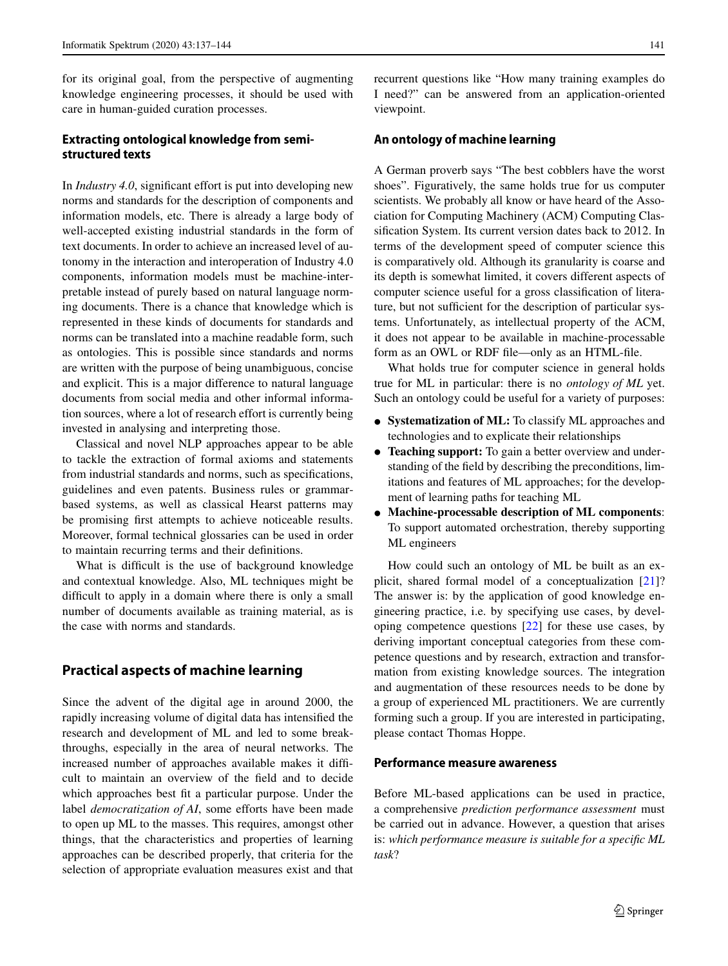for its original goal, from the perspective of augmenting knowledge engineering processes, it should be used with care in human-guided curation processes.

# **Extracting ontological knowledge from semistructured texts**

In *Industry 4.0*, significant effort is put into developing new norms and standards for the description of components and information models, etc. There is already a large body of well-accepted existing industrial standards in the form of text documents. In order to achieve an increased level of autonomy in the interaction and interoperation of Industry 4.0 components, information models must be machine-interpretable instead of purely based on natural language norming documents. There is a chance that knowledge which is represented in these kinds of documents for standards and norms can be translated into a machine readable form, such as ontologies. This is possible since standards and norms are written with the purpose of being unambiguous, concise and explicit. This is a major difference to natural language documents from social media and other informal information sources, where a lot of research effort is currently being invested in analysing and interpreting those.

Classical and novel NLP approaches appear to be able to tackle the extraction of formal axioms and statements from industrial standards and norms, such as specifications, guidelines and even patents. Business rules or grammarbased systems, as well as classical Hearst patterns may be promising first attempts to achieve noticeable results. Moreover, formal technical glossaries can be used in order to maintain recurring terms and their definitions.

What is difficult is the use of background knowledge and contextual knowledge. Also, ML techniques might be difficult to apply in a domain where there is only a small number of documents available as training material, as is the case with norms and standards.

## **Practical aspects of machine learning**

Since the advent of the digital age in around 2000, the rapidly increasing volume of digital data has intensified the research and development of ML and led to some breakthroughs, especially in the area of neural networks. The increased number of approaches available makes it difficult to maintain an overview of the field and to decide which approaches best fit a particular purpose. Under the label *democratization of AI*, some efforts have been made to open up ML to the masses. This requires, amongst other things, that the characteristics and properties of learning approaches can be described properly, that criteria for the selection of appropriate evaluation measures exist and that recurrent questions like "How many training examples do I need?" can be answered from an application-oriented viewpoint.

## **An ontology of machine learning**

A German proverb says "The best cobblers have the worst shoes". Figuratively, the same holds true for us computer scientists. We probably all know or have heard of the Association for Computing Machinery (ACM) Computing Classification System. Its current version dates back to 2012. In terms of the development speed of computer science this is comparatively old. Although its granularity is coarse and its depth is somewhat limited, it covers different aspects of computer science useful for a gross classification of literature, but not sufficient for the description of particular systems. Unfortunately, as intellectual property of the ACM, it does not appear to be available in machine-processable form as an OWL or RDF file—only as an HTML-file.

What holds true for computer science in general holds true for ML in particular: there is no *ontology of ML* yet. Such an ontology could be useful for a variety of purposes:

- **Systematization of ML:** To classify ML approaches and technologies and to explicate their relationships
- - **Teaching support:** To gain a better overview and understanding of the field by describing the preconditions, limitations and features of ML approaches; for the development of learning paths for teaching ML
- $\bullet$  **Machine-processable description of ML components**: To support automated orchestration, thereby supporting ML engineers

How could such an ontology of ML be built as an explicit, shared formal model of a conceptualization [\[21\]](#page-7-6)? The answer is: by the application of good knowledge engineering practice, i.e. by specifying use cases, by developing competence questions [\[22\]](#page-7-7) for these use cases, by deriving important conceptual categories from these competence questions and by research, extraction and transformation from existing knowledge sources. The integration and augmentation of these resources needs to be done by a group of experienced ML practitioners. We are currently forming such a group. If you are interested in participating, please contact Thomas Hoppe.

#### **Performance measure awareness**

Before ML-based applications can be used in practice, a comprehensive *prediction performance assessment* must be carried out in advance. However, a question that arises is: *which performance measure is suitable for a specific ML task*?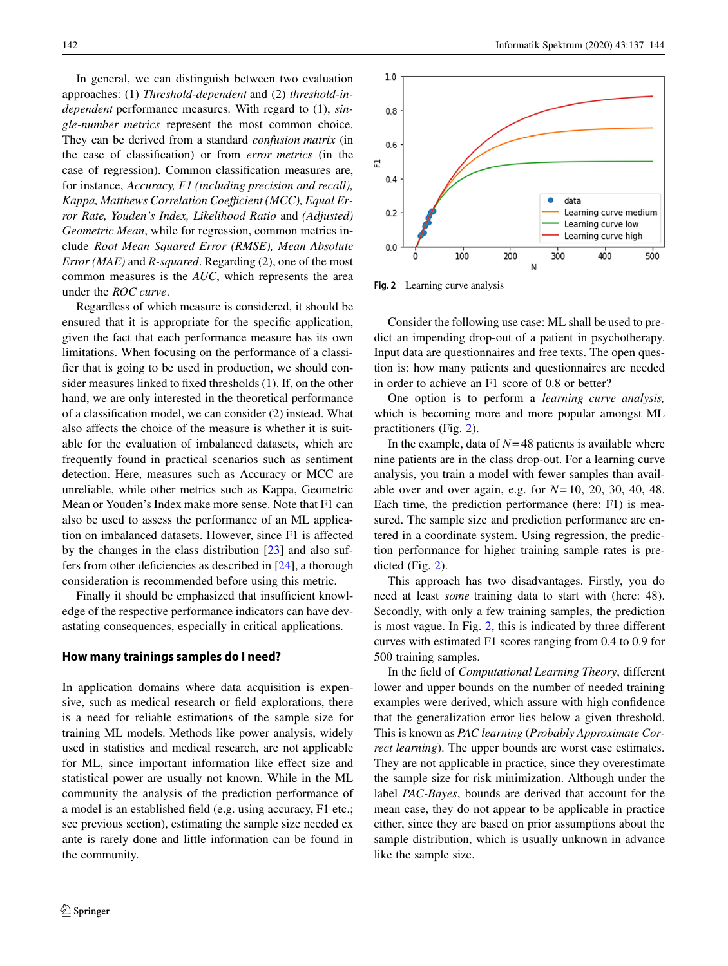In general, we can distinguish between two evaluation approaches: (1) *Threshold-dependent* and (2) *threshold-independent* performance measures. With regard to (1), *single-number metrics* represent the most common choice. They can be derived from a standard *confusion matrix* (in the case of classification) or from *error metrics* (in the case of regression). Common classification measures are, for instance, *Accuracy, F1 (including precision and recall), Kappa, Matthews Correlation Coefficient (MCC), Equal Error Rate, Youden's Index, Likelihood Ratio* and *(Adjusted) Geometric Mean*, while for regression, common metrics include *Root Mean Squared Error (RMSE), Mean Absolute Error (MAE)* and *R-squared*. Regarding (2), one of the most common measures is the *AUC*, which represents the area under the *ROC curve*.

Regardless of which measure is considered, it should be ensured that it is appropriate for the specific application, given the fact that each performance measure has its own limitations. When focusing on the performance of a classifier that is going to be used in production, we should consider measures linked to fixed thresholds (1). If, on the other hand, we are only interested in the theoretical performance of a classification model, we can consider (2) instead. What also affects the choice of the measure is whether it is suitable for the evaluation of imbalanced datasets, which are frequently found in practical scenarios such as sentiment detection. Here, measures such as Accuracy or MCC are unreliable, while other metrics such as Kappa, Geometric Mean or Youden's Index make more sense. Note that F1 can also be used to assess the performance of an ML application on imbalanced datasets. However, since F1 is affected by the changes in the class distribution [\[23\]](#page-7-8) and also suffers from other deficiencies as described in [\[24\]](#page-7-9), a thorough consideration is recommended before using this metric.

Finally it should be emphasized that insufficient knowledge of the respective performance indicators can have devastating consequences, especially in critical applications.

#### **How many trainings samples do I need?**

In application domains where data acquisition is expensive, such as medical research or field explorations, there is a need for reliable estimations of the sample size for training ML models. Methods like power analysis, widely used in statistics and medical research, are not applicable for ML, since important information like effect size and statistical power are usually not known. While in the ML community the analysis of the prediction performance of a model is an established field (e.g. using accuracy, F1 etc.; see previous section), estimating the sample size needed ex ante is rarely done and little information can be found in the community.



<span id="page-5-0"></span>**Fig. 2** Learning curve analysis

Consider the following use case: ML shall be used to predict an impending drop-out of a patient in psychotherapy. Input data are questionnaires and free texts. The open question is: how many patients and questionnaires are needed in order to achieve an F1 score of 0.8 or better?

One option is to perform a *learning curve analysis,* which is becoming more and more popular amongst ML practitioners (Fig. [2\)](#page-5-0).

In the example, data of  $N = 48$  patients is available where nine patients are in the class drop-out. For a learning curve analysis, you train a model with fewer samples than available over and over again, e.g. for *N*= 10, 20, 30, 40, 48. Each time, the prediction performance (here: F1) is measured. The sample size and prediction performance are entered in a coordinate system. Using regression, the prediction performance for higher training sample rates is predicted (Fig. [2\)](#page-5-0).

This approach has two disadvantages. Firstly, you do need at least *some* training data to start with (here: 48). Secondly, with only a few training samples, the prediction is most vague. In Fig. [2,](#page-5-0) this is indicated by three different curves with estimated F1 scores ranging from 0.4 to 0.9 for 500 training samples.

In the field of *Computational Learning Theory*, different lower and upper bounds on the number of needed training examples were derived, which assure with high confidence that the generalization error lies below a given threshold. This is known as *PAC learning* (*Probably Approximate Correct learning*). The upper bounds are worst case estimates. They are not applicable in practice, since they overestimate the sample size for risk minimization. Although under the label *PAC-Bayes*, bounds are derived that account for the mean case, they do not appear to be applicable in practice either, since they are based on prior assumptions about the sample distribution, which is usually unknown in advance like the sample size.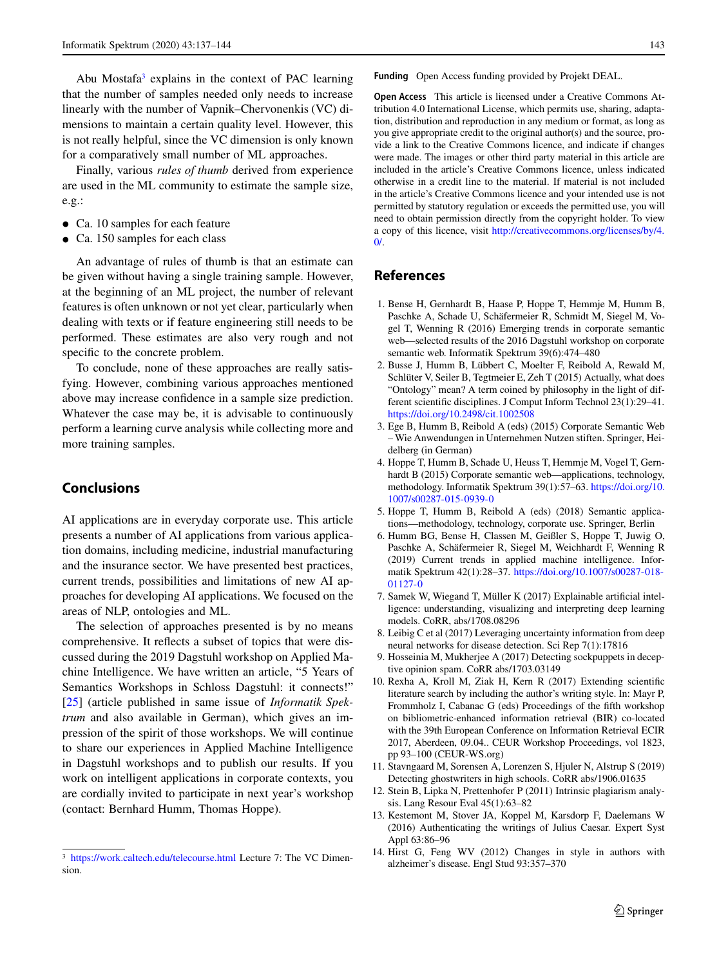Abu Mostaf[a3](#page-6-10) explains in the context of PAC learning that the number of samples needed only needs to increase linearly with the number of Vapnik–Chervonenkis (VC) dimensions to maintain a certain quality level. However, this is not really helpful, since the VC dimension is only known for a comparatively small number of ML approaches.

Finally, various *rules of thumb* derived from experience are used in the ML community to estimate the sample size, e.g.:

- Ca. 10 samples for each feature
- Ca. 150 samples for each class

An advantage of rules of thumb is that an estimate can be given without having a single training sample. However, at the beginning of an ML project, the number of relevant features is often unknown or not yet clear, particularly when dealing with texts or if feature engineering still needs to be performed. These estimates are also very rough and not specific to the concrete problem.

To conclude, none of these approaches are really satisfying. However, combining various approaches mentioned above may increase confidence in a sample size prediction. Whatever the case may be, it is advisable to continuously perform a learning curve analysis while collecting more and more training samples.

## **Conclusions**

AI applications are in everyday corporate use. This article presents a number of AI applications from various application domains, including medicine, industrial manufacturing and the insurance sector. We have presented best practices, current trends, possibilities and limitations of new AI approaches for developing AI applications. We focused on the areas of NLP, ontologies and ML.

The selection of approaches presented is by no means comprehensive. It reflects a subset of topics that were discussed during the 2019 Dagstuhl workshop on Applied Machine Intelligence. We have written an article, "5 Years of Semantics Workshops in Schloss Dagstuhl: it connects!" [\[25\]](#page-7-10) (article published in same issue of *Informatik Spektrum* and also available in German), which gives an impression of the spirit of those workshops. We will continue to share our experiences in Applied Machine Intelligence in Dagstuhl workshops and to publish our results. If you work on intelligent applications in corporate contexts, you are cordially invited to participate in next year's workshop (contact: Bernhard Humm, Thomas Hoppe).

**Funding** Open Access funding provided by Projekt DEAL.

**Open Access** This article is licensed under a Creative Commons Attribution 4.0 International License, which permits use, sharing, adaptation, distribution and reproduction in any medium or format, as long as you give appropriate credit to the original author(s) and the source, provide a link to the Creative Commons licence, and indicate if changes were made. The images or other third party material in this article are included in the article's Creative Commons licence, unless indicated otherwise in a credit line to the material. If material is not included in the article's Creative Commons licence and your intended use is not permitted by statutory regulation or exceeds the permitted use, you will need to obtain permission directly from the copyright holder. To view a copy of this licence, visit [http://creativecommons.org/licenses/by/4.](http://creativecommons.org/licenses/by/4.0/) [0/.](http://creativecommons.org/licenses/by/4.0/)

#### <span id="page-6-0"></span>**References**

- 1. Bense H, Gernhardt B, Haase P, Hoppe T, Hemmje M, Humm B, Paschke A, Schade U, Schäfermeier R, Schmidt M, Siegel M, Vogel T, Wenning R (2016) Emerging trends in corporate semantic web—selected results of the 2016 Dagstuhl workshop on corporate semantic web. Informatik Spektrum 39(6):474–480
- 2. Busse J, Humm B, Lübbert C, Moelter F, Reibold A, Rewald M, Schlüter V, Seiler B, Tegtmeier E, Zeh T (2015) Actually, what does "Ontology" mean? A term coined by philosophy in the light of different scientific disciplines. J Comput Inform Technol 23(1):29–41. <https://doi.org/10.2498/cit.1002508>
- 3. Ege B, Humm B, Reibold A (eds) (2015) Corporate Semantic Web – Wie Anwendungen in Unternehmen Nutzen stiften. Springer, Heidelberg (in German)
- 4. Hoppe T, Humm B, Schade U, Heuss T, Hemmje M, Vogel T, Gernhardt B (2015) Corporate semantic web—applications, technology, methodology. Informatik Spektrum 39(1):57–63. [https://doi.org/10.](https://doi.org/10.1007/s00287-015-0939-0) [1007/s00287-015-0939-0](https://doi.org/10.1007/s00287-015-0939-0)
- <span id="page-6-1"></span>5. Hoppe T, Humm B, Reibold A (eds) (2018) Semantic applications—methodology, technology, corporate use. Springer, Berlin
- 6. Humm BG, Bense H, Classen M, Geißler S, Hoppe T, Juwig O, Paschke A, Schäfermeier R, Siegel M, Weichhardt F, Wenning R (2019) Current trends in applied machine intelligence. Informatik Spektrum 42(1):28–37. [https://doi.org/10.1007/s00287-018-](https://doi.org/10.1007/s00287-018-01127-0) [01127-0](https://doi.org/10.1007/s00287-018-01127-0)
- <span id="page-6-2"></span>7. Samek W, Wiegand T, Müller K (2017) Explainable artificial intelligence: understanding, visualizing and interpreting deep learning models. CoRR, abs/1708.08296
- <span id="page-6-4"></span><span id="page-6-3"></span>8. Leibig C et al (2017) Leveraging uncertainty information from deep neural networks for disease detection. Sci Rep 7(1):17816
- <span id="page-6-5"></span>9. Hosseinia M, Mukherjee A (2017) Detecting sockpuppets in deceptive opinion spam. CoRR abs/1703.03149
- 10. Rexha A, Kroll M, Ziak H, Kern R (2017) Extending scientific literature search by including the author's writing style. In: Mayr P, Frommholz I, Cabanac G (eds) Proceedings of the fifth workshop on bibliometric-enhanced information retrieval (BIR) co-located with the 39th European Conference on Information Retrieval ECIR 2017, Aberdeen, 09.04.. CEUR Workshop Proceedings, vol 1823, pp 93–100 (CEUR-WS.org)
- <span id="page-6-7"></span><span id="page-6-6"></span>11. Stavngaard M, Sorensen A, Lorenzen S, Hjuler N, Alstrup S (2019) Detecting ghostwriters in high schools. CoRR abs/1906.01635
- <span id="page-6-8"></span>12. Stein B, Lipka N, Prettenhofer P (2011) Intrinsic plagiarism analysis. Lang Resour Eval 45(1):63–82
- 13. Kestemont M, Stover JA, Koppel M, Karsdorp F, Daelemans W (2016) Authenticating the writings of Julius Caesar. Expert Syst Appl 63:86–96
- <span id="page-6-9"></span>14. Hirst G, Feng WV (2012) Changes in style in authors with alzheimer's disease. Engl Stud 93:357–370

<span id="page-6-10"></span><sup>3</sup> <https://work.caltech.edu/telecourse.html> Lecture 7: The VC Dimension.